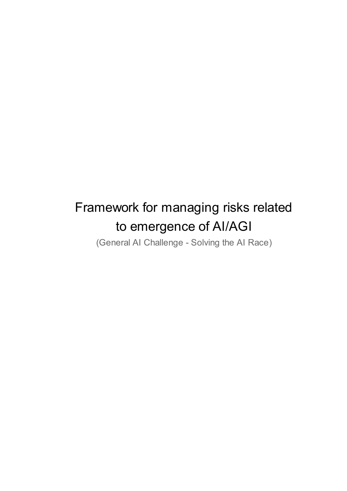# Framework for managing risks related to emergence of AI/AGI

(General AI Challenge - Solving the AI Race)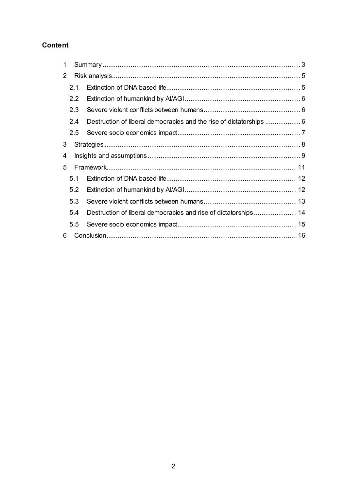# **Content**

| 1 |                  |                                                                     |  |
|---|------------------|---------------------------------------------------------------------|--|
| 2 |                  |                                                                     |  |
|   | 2.1              |                                                                     |  |
|   | $2.2\phantom{0}$ |                                                                     |  |
|   | 2.3              |                                                                     |  |
|   | 2.4              | Destruction of liberal democracies and the rise of dictatorships  6 |  |
|   | 2.5              |                                                                     |  |
| 3 |                  |                                                                     |  |
| 4 |                  |                                                                     |  |
| 5 |                  |                                                                     |  |
|   | 5.1              |                                                                     |  |
|   | 5.2              |                                                                     |  |
|   | 5.3              |                                                                     |  |
|   | 5.4              | Destruction of liberal democracies and rise of dictatorships 14     |  |
|   | 5.5              |                                                                     |  |
| 6 |                  |                                                                     |  |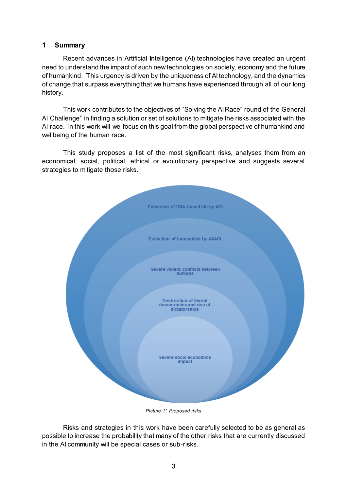#### <span id="page-2-0"></span>**1 Summary**

Recent advances in Artificial Intelligence (AI) technologies have created an urgent need to understand the impact of such new technologies on society, economy and the future of humankind. This urgency is driven by the uniqueness of AI technology, and the dynamics of change that surpass everything that we humans have experienced through all of our long history.

This work contributes to the objectives of ''Solving the AI Race" round of the General AI Challenge'' in finding a solution or set of solutions to mitigate the risks associated with the AI race. In this work will we focus on this goal from the global perspective of humankind and wellbeing of the human race.

This study proposes a list of the most significant risks, analyses them from an economical, social, political, ethical or evolutionary perspective and suggests several strategies to mitigate those risks.



*Picture 1: Proposed risks*

Risks and strategies in this work have been carefully selected to be as general as possible to increase the probability that many of the other risks that are currently discussed in the AI community will be special cases or sub-risks.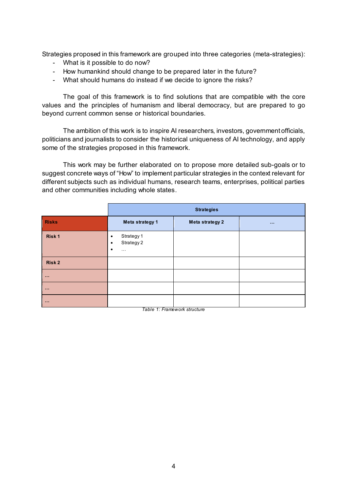Strategies proposed in this framework are grouped into three categories (meta-strategies):

- What is it possible to do now?
- How humankind should change to be prepared later in the future?
- What should humans do instead if we decide to ignore the risks?

The goal of this framework is to find solutions that are compatible with the core values and the principles of humanism and liberal democracy, but are prepared to go beyond current common sense or historical boundaries.

The ambition of this work is to inspire AI researchers, investors, government officials, politicians and journalists to consider the historical uniqueness of AI technology, and apply some of the strategies proposed in this framework.

This work may be further elaborated on to propose more detailed sub-goals or to suggest concrete ways of "How" to implement particular strategies in the context relevant for different subjects such as individual humans, research teams, enterprises, political parties and other communities including whole states.

|                                                                                         | <b>Strategies</b>                                   |                 |             |
|-----------------------------------------------------------------------------------------|-----------------------------------------------------|-----------------|-------------|
| <b>Risks</b>                                                                            | Meta strategy 1                                     | Meta strategy 2 | $\sim 0.00$ |
| Risk 1                                                                                  | Strategy 1<br>٠<br>Strategy 2<br>٠<br>٠<br>$\ldots$ |                 |             |
| Risk 2                                                                                  |                                                     |                 |             |
| $\sim 100$                                                                              |                                                     |                 |             |
| $\sim 100$                                                                              |                                                     |                 |             |
| $\begin{array}{cccccccccc} \bullet & \bullet & \bullet & \bullet & \bullet \end{array}$ |                                                     |                 |             |

*Table 1: Framework structure*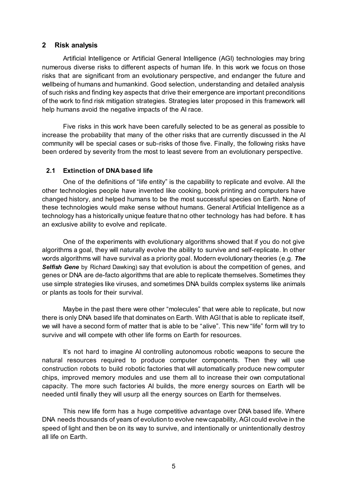#### <span id="page-4-0"></span>**2 Risk analysis**

Artificial Intelligence or Artificial General Intelligence (AGI) technologies may bring numerous diverse risks to different aspects of human life. In this work we focus on those risks that are significant from an evolutionary perspective, and endanger the future and wellbeing of humans and humankind. Good selection, understanding and detailed analysis of such risks and finding key aspects that drive their emergence are important preconditions of the work to find risk mitigation strategies. Strategies later proposed in this framework will help humans avoid the negative impacts of the AI race.

Five risks in this work have been carefully selected to be as general as possible to increase the probability that many of the other risks that are currently discussed in the AI community will be special cases or sub-risks of those five. Finally, the following risks have been ordered by severity from the most to least severe from an evolutionary perspective.

#### <span id="page-4-1"></span>**2.1 Extinction of DNA based life**

One of the definitions of "life entity" is the capability to replicate and evolve. All the other technologies people have invented like cooking, book printing and computers have changed history, and helped humans to be the most successful species on Earth. None of these technologies would make sense without humans. General Artificial Intelligence as a technology has a historically unique feature that no other technology has had before. It has an exclusive ability to evolve and replicate.

One of the experiments with evolutionary algorithms showed that if you do not give algorithms a goal, they will naturally evolve the ability to survive and self-replicate. In other words algorithms will have survival as a priority goal. Modern evolutionary theories (e.g. *The*  **Selfish Gene** by Richard Dawking) say that evolution is about the competition of genes, and genes or DNA are de-facto algorithms that are able to replicate themselves. Sometimes they use simple strategies like viruses, and sometimes DNA builds complex systems like animals or plants as tools for their survival.

Maybe in the past there were other "molecules" that were able to replicate, but now there is only DNA based life that dominates on Earth. With AGI that is able to replicate itself, we will have a second form of matter that is able to be "alive". This new "life" form will try to survive and will compete with other life forms on Earth for resources.

It's not hard to imagine AI controlling autonomous robotic weapons to secure the natural resources required to produce computer components. Then they will use construction robots to build robotic factories that will automatically produce new computer chips, improved memory modules and use them all to increase their own computational capacity. The more such factories AI builds, the more energy sources on Earth will be needed until finally they will usurp all the energy sources on Earth for themselves.

This new life form has a huge competitive advantage over DNA based life. Where DNA needs thousands of years of evolution to evolve new capability, AGI could evolve in the speed of light and then be on its way to survive, and intentionally or unintentionally destroy all life on Earth.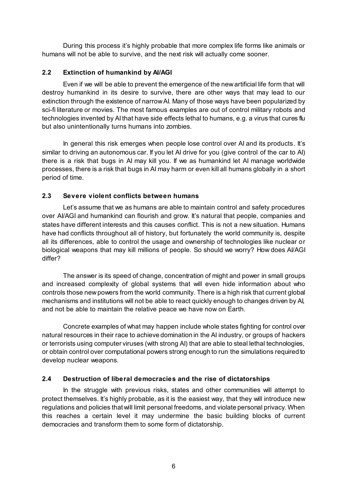During this process it's highly probable that more complex life forms like animals or humans will not be able to survive, and the next risk will actually come sooner.

#### <span id="page-5-0"></span>**2.2 Extinction of humankind by AI/AGI**

Even if we will be able to prevent the emergence of the new artificial life form that will destroy humankind in its desire to survive, there are other ways that may lead to our extinction through the existence of narrow AI. Many of those ways have been popularized by sci-fi literature or movies. The most famous examples are out of control military robots and technologies invented by AI that have side effects lethal to humans, e.g. a virus that cures flu but also unintentionally turns humans into zombies.

In general this risk emerges when people lose control over AI and its products. It's similar to driving an autonomous car. If you let AI drive for you (give control of the car to AI) there is a risk that bugs in AI may kill you. If we as humankind let AI manage worldwide processes, there is a risk that bugs in AI may harm or even kill all humans globally in a short period of time.

#### <span id="page-5-1"></span>**2.3 Severe violent conflicts between humans**

Let's assume that we as humans are able to maintain control and safety procedures over AI/AGI and humankind can flourish and grow. It's natural that people, companies and states have different interests and this causes conflict. This is not a new situation. Humans have had conflicts throughout all of history, but fortunately the world community is, despite all its differences, able to control the usage and ownership of technologies like nuclear or biological weapons that may kill millions of people. So should we worry? How does AI/AGI differ?

The answer is its speed of change, concentration of might and power in small groups and increased complexity of global systems that will even hide information about who controls those new powers from the world community. There is a high risk that current global mechanisms and institutions will not be able to react quickly enough to changes driven by AI, and not be able to maintain the relative peace we have now on Earth.

Concrete examples of what may happen include whole states fighting for control over natural resources in their race to achieve domination in the AI industry, or groups of hackers or terrorists using computer viruses (with strong AI) that are able to steal lethal technologies, or obtain control over computational powers strong enough to run the simulations required to develop nuclear weapons.

#### <span id="page-5-2"></span>**2.4 Destruction of liberal democracies and the rise of dictatorships**

In the struggle with previous risks, states and other communities will attempt to protect themselves. It's highly probable, as it is the easiest way, that they will introduce new regulations and policies that will limit personal freedoms, and violate personal privacy. When this reaches a certain level it may undermine the basic building blocks of current democracies and transform them to some form of dictatorship.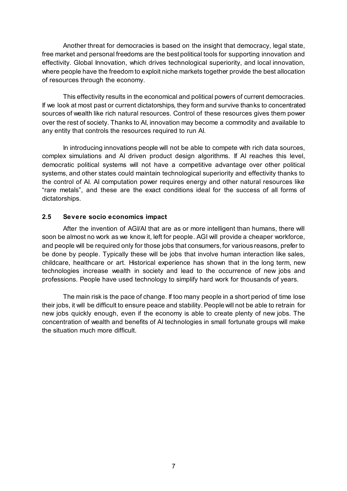Another threat for democracies is based on the insight that democracy, legal state, free market and personal freedoms are the best political tools for supporting innovation and effectivity. Global Innovation, which drives technological superiority, and local innovation, where people have the freedom to exploit niche markets together provide the best allocation of resources through the economy.

This effectivity results in the economical and political powers of current democracies. If we look at most past or current dictatorships, they form and survive thanks to concentrated sources of wealth like rich natural resources. Control of these resources gives them power over the rest of society. Thanks to AI, innovation may become a commodity and available to any entity that controls the resources required to run AI.

In introducing innovations people will not be able to compete with rich data sources, complex simulations and AI driven product design algorithms. If AI reaches this level, democratic political systems will not have a competitive advantage over other political systems, and other states could maintain technological superiority and effectivity thanks to the control of AI. AI computation power requires energy and other natural resources like "rare metals", and these are the exact conditions ideal for the success of all forms of dictatorships.

#### <span id="page-6-0"></span>**2.5 Severe socio economics impact**

After the invention of AGI/AI that are as or more intelligent than humans, there will soon be almost no work as we know it, left for people. AGI will provide a cheaper workforce, and people will be required only for those jobs that consumers, for various reasons, prefer to be done by people. Typically these will be jobs that involve human interaction like sales, childcare, healthcare or art. Historical experience has shown that in the long term, new technologies increase wealth in society and lead to the occurrence of new jobs and professions. People have used technology to simplify hard work for thousands of years.

The main risk is the pace of change. If too many people in a short period of time lose their jobs, it will be difficult to ensure peace and stability. People will not be able to retrain for new jobs quickly enough, even if the economy is able to create plenty of new jobs. The concentration of wealth and benefits of AI technologies in small fortunate groups will make the situation much more difficult.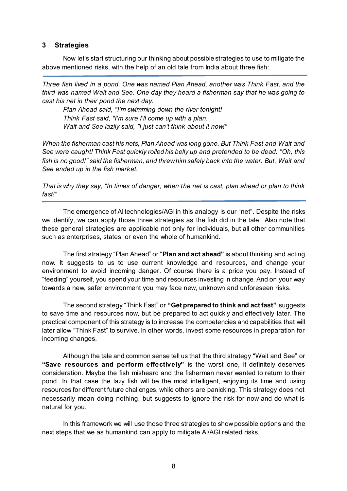#### <span id="page-7-0"></span>**3 Strategies**

Now let's start structuring our thinking about possible strategies to use to mitigate the above mentioned risks, with the help of an old tale from India about three fish:

*Three fish lived in a pond. One was named Plan Ahead, another was Think Fast, and the third was named Wait and See. One day they heard a fisherman say that he was going to cast his net in their pond the next day.*

*Plan Ahead said, "I'm swimming down the river tonight! Think Fast said, "I'm sure I'll come up with a plan. Wait and See lazily said, "I just can't think about it now!"*

*When the fisherman cast his nets, Plan Ahead was long gone. But Think Fast and Wait and See were caught! Think Fast quickly rolled his belly up and pretended to be dead. "Oh, this fish is no good!" said the fisherman, and threw him safely back into the water. But, Wait and See ended up in the fish market.* 

*That is why they say, "In times of danger, when the net is cast, plan ahead or plan to think fast!"*

The emergence of AI technologies/AGI in this analogy is our "net". Despite the risks we identify, we can apply those three strategies as the fish did in the tale. Also note that these general strategies are applicable not only for individuals, but all other communities such as enterprises, states, or even the whole of humankind.

The first strategy "Plan Ahead" or "**Plan and act ahead"** is about thinking and acting now. It suggests to us to use current knowledge and resources, and change your environment to avoid incoming danger. Of course there is a price you pay. Instead of "feeding" yourself, you spend your time and resources investing in change. And on your way towards a new, safer environment you may face new, unknown and unforeseen risks.

The second strategy "Think Fast" or **"Get prepared to think and act fast"** suggests to save time and resources now, but be prepared to act quickly and effectively later. The practical component of this strategy is to increase the competencies and capabilities that will later allow "Think Fast" to survive. In other words, invest some resources in preparation for incoming changes.

Although the tale and common sense tell us that the third strategy "Wait and See" or **"Save resources and perform effectively"** is the worst one, it definitely deserves consideration. Maybe the fish misheard and the fisherman never wanted to return to their pond. In that case the lazy fish will be the most intelligent, enjoying its time and using resources for different future challenges, while others are panicking. This strategy does not necessarily mean doing nothing, but suggests to ignore the risk for now and do what is natural for you.

In this framework we will use those three strategies to show possible options and the next steps that we as humankind can apply to mitigate AI/AGI related risks.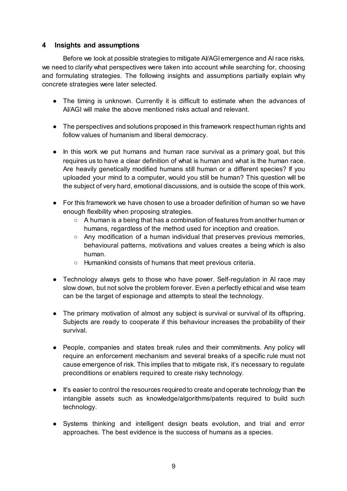#### <span id="page-8-0"></span>**4 Insights and assumptions**

Before we look at possible strategies to mitigate AI/AGI emergence and AI race risks, we need to clarify what perspectives were taken into account while searching for, choosing and formulating strategies. The following insights and assumptions partially explain why concrete strategies were later selected.

- The timing is unknown. Currently it is difficult to estimate when the advances of AI/AGI will make the above mentioned risks actual and relevant.
- The perspectives and solutions proposed in this framework respect human rights and follow values of humanism and liberal democracy.
- In this work we put humans and human race survival as a primary goal, but this requires us to have a clear definition of what is human and what is the human race. Are heavily genetically modified humans still human or a different species? If you uploaded your mind to a computer, would you still be human? This question will be the subject of very hard, emotional discussions, and is outside the scope of this work.
- For this framework we have chosen to use a broader definition of human so we have enough flexibility when proposing strategies.
	- A human is a being that has a combination of features from another human or humans, regardless of the method used for inception and creation.
	- $\circ$  Any modification of a human individual that preserves previous memories, behavioural patterns, motivations and values creates a being which is also human.
	- Humankind consists of humans that meet previous criteria.
- Technology always gets to those who have power. Self-regulation in AI race may slow down, but not solve the problem forever. Even a perfectly ethical and wise team can be the target of espionage and attempts to steal the technology.
- The primary motivation of almost any subject is survival or survival of its offspring. Subjects are ready to cooperate if this behaviour increases the probability of their survival.
- People, companies and states break rules and their commitments. Any policy will require an enforcement mechanism and several breaks of a specific rule must not cause emergence of risk. This implies that to mitigate risk, it's necessary to regulate preconditions or enablers required to create risky technology.
- It's easier to control the resources required to create and operate technology than the intangible assets such as knowledge/algorithms/patents required to build such technology.
- Systems thinking and intelligent design beats evolution, and trial and error approaches. The best evidence is the success of humans as a species.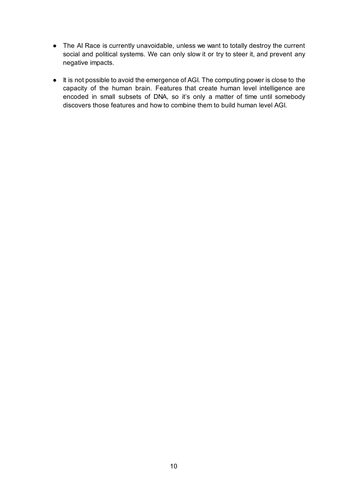- The AI Race is currently unavoidable, unless we want to totally destroy the current social and political systems. We can only slow it or try to steer it, and prevent any negative impacts.
- It is not possible to avoid the emergence of AGI. The computing power is close to the capacity of the human brain. Features that create human level intelligence are encoded in small subsets of DNA, so it's only a matter of time until somebody discovers those features and how to combine them to build human level AGI.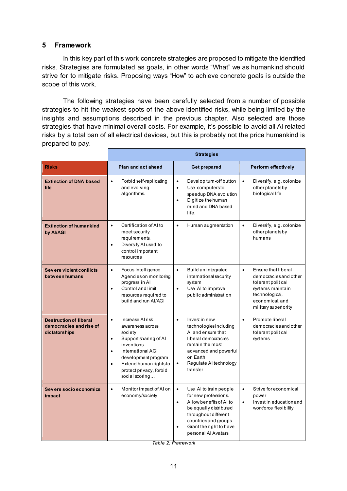#### <span id="page-10-0"></span>**5 Framework**

In this key part of this work concrete strategies are proposed to mitigate the identified risks. Strategies are formulated as goals, in other words "What" we as humankind should strive for to mitigate risks. Proposing ways "How" to achieve concrete goals is outside the scope of this work.

The following strategies have been carefully selected from a number of possible strategies to hit the weakest spots of the above identified risks, while being limited by the insights and assumptions described in the previous chapter. Also selected are those strategies that have minimal overall costs. For example, it's possible to avoid all AI related risks by a total ban of all electrical devices, but this is probably not the price humankind is prepared to pay.

|                                                                           | <b>Strategies</b>                                                                                                                                                                                                                  |                                                                                                                                                                                                                                              |                                                                                                                                                                  |
|---------------------------------------------------------------------------|------------------------------------------------------------------------------------------------------------------------------------------------------------------------------------------------------------------------------------|----------------------------------------------------------------------------------------------------------------------------------------------------------------------------------------------------------------------------------------------|------------------------------------------------------------------------------------------------------------------------------------------------------------------|
| <b>Risks</b>                                                              | Plan and act ahead                                                                                                                                                                                                                 | <b>Get prepared</b>                                                                                                                                                                                                                          | Perform effectively                                                                                                                                              |
| <b>Extinction of DNA based</b><br>life                                    | Forbid self-replicating<br>$\bullet$<br>and evolving<br>algorithms.                                                                                                                                                                | Develop turn-off button<br>$\bullet$<br>Use computersto<br>$\bullet$<br>speedup DNA evolution<br>Digitize the human<br>$\bullet$<br>mind and DNA based<br>life.                                                                              | $\bullet$<br>Diversify, e.g. colonize<br>otherplanetsby<br>biological life                                                                                       |
| <b>Extinction of humankind</b><br>by Al/AGI                               | $\bullet$<br>Certification of AI to<br>meet security<br>requirements.<br>Diversify AI used to<br>$\bullet$<br>control important<br>resources.                                                                                      | $\bullet$<br>Human augmentation                                                                                                                                                                                                              | $\bullet$<br>Diversify, e.g. colonize<br>otherplanetsby<br>humans                                                                                                |
| Severe violent conflicts<br>between humans                                | Focus Intelligence<br>$\bullet$<br>Agencieson monitoring<br>progress in Al<br>Control and limit<br>$\bullet$<br>resources required to<br>build and run Al/AGI                                                                      | $\bullet$<br>Build an integrated<br>international security<br>system<br>Use Al to improve<br>$\bullet$<br>public administration                                                                                                              | Ensure that liberal<br>$\bullet$<br>democracies and other<br>tolerant political<br>systems maintain<br>technological,<br>economical, and<br>military superiority |
| <b>Destruction of liberal</b><br>democracies and rise of<br>dictatorships | Increase AI risk<br>$\bullet$<br>awareness across<br>society<br>Support sharing of Al<br>$\bullet$<br>inventions<br>International AGI<br>development program<br>Extend human rightsto<br>protect privacy, forbid<br>social scoring | Invest in new<br>$\bullet$<br>technologies including<br>AI and ensure that<br>liberal democracies<br>remain the most<br>advanced and powerful<br>on Earth<br>Regulate AI technology<br>$\bullet$<br>transfer                                 | $\bullet$<br>Promote liberal<br>democracies and other<br>tolerant political<br>systems                                                                           |
| Severe socio economics<br>impact                                          | Monitor impact of AI on<br>$\bullet$<br>economy/society                                                                                                                                                                            | Use AI to train people<br>$\bullet$<br>for new professions.<br>Allow benefits of AI to<br>$\bullet$<br>be equally distributed<br>throughout different<br>countries and groups<br>Grant the right to have<br>$\bullet$<br>personal Al Avatars | $\bullet$<br>Strive for economical<br>power<br>Invest in education and<br>$\bullet$<br>workforce flexibility                                                     |

*Table 2: Framework*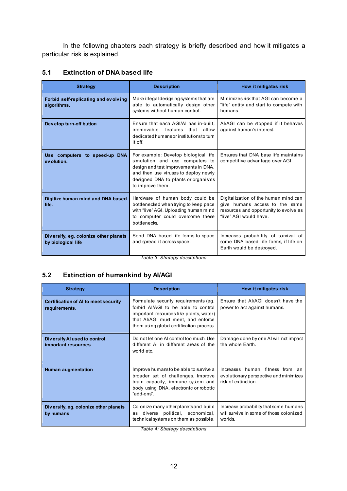In the following chapters each strategy is briefly described and how it mitigates a particular risk is explained.

#### <span id="page-11-0"></span>**5.1 Extinction of DNA based life**

| <b>Strategy</b>                                             | <b>Description</b>                                                                                                                                                                                                 | How it mitigates risk                                                                                                                      |
|-------------------------------------------------------------|--------------------------------------------------------------------------------------------------------------------------------------------------------------------------------------------------------------------|--------------------------------------------------------------------------------------------------------------------------------------------|
| Forbid self-replicating and evolving<br>algorithms.         | Make illegal designing systems that are<br>able to automatically design other<br>systems without human control.                                                                                                    | Minimizes risk that AGI can become a<br>"life" entity and start to compete with<br>humans.                                                 |
| Develop turn-off button                                     | Ensure that each AGI/AI has in-built.<br>irremovable<br>features<br>that allow<br>dedicated humans or institutions to tum<br>it off.                                                                               | Al/AGI can be stopped if it behaves<br>against human's interest.                                                                           |
| Use computers to speed-up DNA<br>evolution.                 | For example: Develop biological life<br>simulation and use computers to<br>design and test improvements in DNA,<br>and then use viruses to deploy newly<br>designed DNA to plants or organisms<br>to improve them. | Ensures that DNA base life maintains<br>competitive advantage over AGI.                                                                    |
| Digitize human mind and DNA based<br>life.                  | Hardware of human body could be<br>bottlenecked when trying to keep pace<br>with "live" AGI. Uploading human mind<br>to computer could overcome these<br>bottlenecks.                                              | Digitalization of the human mind can<br>give humans access to the same<br>resources and opportunity to evolve as<br>"live" AGI would have. |
| Diversify, eg. colonize other planets<br>by biological life | Send DNA based life forms to space<br>and spread it across space.                                                                                                                                                  | Increases probability of survival of<br>some DNA based life forms, if life on<br>Earth would be destroyed.                                 |

*Table 3: Strategy descriptions*

### <span id="page-11-1"></span>**5.2 Extinction of humankind by AI/AGI**

| <b>Strategy</b>                                              | <b>Description</b>                                                                                                                                                                                       | How it mitigates risk                                                                            |
|--------------------------------------------------------------|----------------------------------------------------------------------------------------------------------------------------------------------------------------------------------------------------------|--------------------------------------------------------------------------------------------------|
| <b>Certification of AI to meet security</b><br>requirements. | Formulate security requirements (eg.<br>forbid AI/AGI to be able to control<br>important resources like plants, water)<br>that AI/AGI must meet, and enforce<br>them using global certification process. | Ensure that AI/AGI doesn't have the<br>power to act against humans.                              |
| Diversify AI used to control<br>important resources.         | Do not let one AI control too much. Use<br>different AI in different areas of the<br>world etc.                                                                                                          | Damage done by one AI will not impact<br>the whole Earth.                                        |
| <b>Human augmentation</b>                                    | Improve humans to be able to survive a<br>broader set of challenges. Improve<br>brain capacity, immune system and<br>body using DNA, electronic or robotic<br>"add-ons".                                 | Increases human fitness from an<br>evolutionary perspective and minimizes<br>risk of extinction. |
| Diversify, eg. colonize other planets<br>by humans           | Colonize many other planets and build<br>diverse political, economical,<br>as<br>technical systems on them as possible.                                                                                  | Increase probability that some humans<br>will survive in some of those colonized<br>worlds.      |

*Table 4: Strategy descriptions*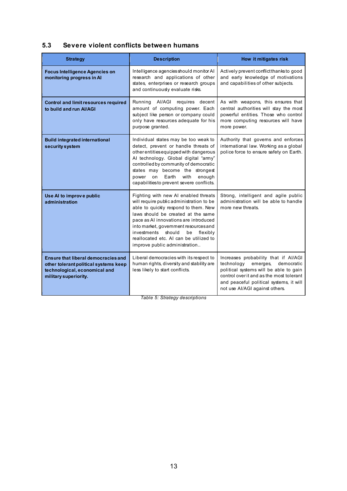## <span id="page-12-0"></span>**5.3 Severe violent conflicts between humans**

| <b>Strategy</b>                                                                                                                               | <b>Description</b>                                                                                                                                                                                                                                                                                                                                                  | How it mitigates risk                                                                                                                                                                                                                           |
|-----------------------------------------------------------------------------------------------------------------------------------------------|---------------------------------------------------------------------------------------------------------------------------------------------------------------------------------------------------------------------------------------------------------------------------------------------------------------------------------------------------------------------|-------------------------------------------------------------------------------------------------------------------------------------------------------------------------------------------------------------------------------------------------|
| <b>Focus Intelligence Agencies on</b><br>monitoring progress in Al                                                                            | Intelligence agencies should monitor AI<br>research and applications of other<br>states, enterprises or research groups<br>and continuously evaluate risks.                                                                                                                                                                                                         | Actively prevent conflict thanks to good<br>and early knowledge of motivations<br>and capabilities of other subjects.                                                                                                                           |
| <b>Control and limit resources required</b><br>to build and run Al/AGI                                                                        | Running Al/AGI requires decent<br>amount of computing power. Each<br>subject like person or company could<br>only have resources adequate for his<br>purpose granted.                                                                                                                                                                                               | As with weapons, this ensures that<br>central authorities will stay the most<br>powerful entities. Those who control<br>more computing resources will have<br>more power.                                                                       |
| <b>Build integrated international</b><br>security system                                                                                      | Individual states may be too weak to<br>detect, prevent or handle threats of<br>other entities equipped with dangerous<br>Al technology. Global digital "army"<br>controlled by community of democratic<br>states may become the strongest<br>Earth<br>with<br>enough<br>power<br>on<br>capabilities to prevent severe conflicts.                                   | Authority that governs and enforces<br>international law. Working as a global<br>police force to ensure safety on Earth.                                                                                                                        |
| Use AI to improve public<br>administration                                                                                                    | Fighting with new AI enabled threats<br>will require public administration to be<br>able to quickly respond to them. New<br>laws should be created at the same<br>pace as AI innovations are introduced<br>into market, government resources and<br>investments should<br>be<br>flexibly<br>reallocated etc. AI can be utilized to<br>improve public administration | Strong, intelligent and agile public<br>administration will be able to handle<br>more new threats.                                                                                                                                              |
| <b>Ensure that liberal democracies and</b><br>other tolerant political systems keep<br>technological, economical and<br>military superiority. | Liberal democracies with its respect to<br>human rights, diversity and stability are<br>less likely to start conflicts.                                                                                                                                                                                                                                             | Increases probability that if AI/AGI<br>technology<br>democratic<br>emerges,<br>political systems will be able to gain<br>control over it and as the most tolerant<br>and peaceful political systems, it will<br>not use Al/AGI against others. |

*Table 5: Strategy descriptions*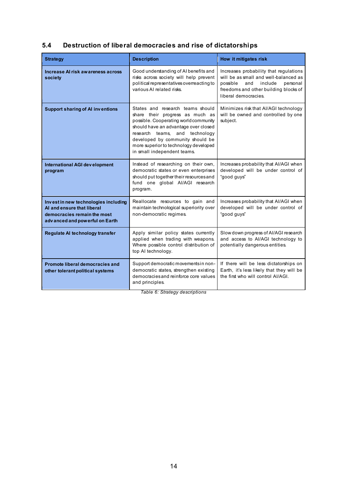# <span id="page-13-0"></span>**5.4 Destruction of liberal democracies and rise of dictatorships**

| <b>Strategy</b>                                                                                                                     | <b>Description</b>                                                                                                                                                                                                                                                                                 | How it mitigates risk                                                                                                                                                                   |
|-------------------------------------------------------------------------------------------------------------------------------------|----------------------------------------------------------------------------------------------------------------------------------------------------------------------------------------------------------------------------------------------------------------------------------------------------|-----------------------------------------------------------------------------------------------------------------------------------------------------------------------------------------|
| Increase AI risk awareness across<br>society                                                                                        | Good understanding of AI benefits and<br>risks across society will help prevent<br>political representatives overreacting to<br>various AI related risks.                                                                                                                                          | Increases probability that regulations<br>will be as small and well-balanced as<br>possible<br>and include<br>personal<br>freedoms and other building blocks of<br>liberal democracies. |
| <b>Support sharing of AI inventions</b>                                                                                             | States and research teams should<br>share their progress as much as<br>possible. Cooperating world community<br>should have an advantage over closed<br>research teams, and technology<br>developed by community should be<br>more superior to technology developed<br>in small independent teams. | Minimizes risk that Al/AGI technology<br>will be owned and controlled by one<br>subject.                                                                                                |
| <b>International AGI development</b><br>program                                                                                     | Instead of researching on their own,<br>democratic states or even enterprises<br>should put together their resources and<br>fund one global Al/AGI research<br>program.                                                                                                                            | Increases probability that AI/AGI when<br>developed will be under control of<br>"good guys"                                                                                             |
| Invest in new technologies including<br>AI and ensure that liberal<br>democracies remain the most<br>advanced and powerful on Earth | Reallocate resources to gain and<br>maintain technological superiority over<br>non-democratic regimes.                                                                                                                                                                                             | Increases probability that AI/AGI when<br>developed will be under control of<br>"good guys"                                                                                             |
| Regulate AI technology transfer                                                                                                     | Apply similar policy states currently<br>applied when trading with weapons.<br>Where possible control distribution of<br>top AI technology.                                                                                                                                                        | Slow down progress of Al/AGI research<br>and access to Al/AGI technology to<br>potentially dangerous entities.                                                                          |
| <b>Promote liberal democracies and</b><br>other tolerant political systems                                                          | Support democratic movements in non-<br>democratic states, strengthen existing<br>democracies and reinforce core values<br>and principles.                                                                                                                                                         | If there will be less dictatorships on<br>Earth, it's less likely that they will be<br>the first who will control AI/AGI.                                                               |

*Table 6: Strategy descriptions*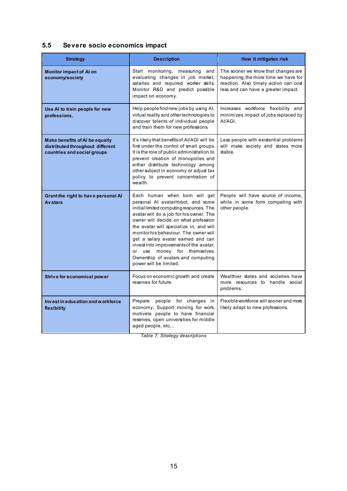# <span id="page-14-0"></span>**5.5 Severe socio economics impact**

| <b>Strategy</b>                                                                                          | <b>Description</b>                                                                                                                                                                                                                                                                                                                                                                                                                                                      | How it mitigates risk                                                                                                                                       |
|----------------------------------------------------------------------------------------------------------|-------------------------------------------------------------------------------------------------------------------------------------------------------------------------------------------------------------------------------------------------------------------------------------------------------------------------------------------------------------------------------------------------------------------------------------------------------------------------|-------------------------------------------------------------------------------------------------------------------------------------------------------------|
| <b>Monitor impact of Al on</b><br>economy/society                                                        | Start monitoring, measuring and<br>evaluating changes in job market,<br>salaries and required worker skills.<br>Monitor R&D and predict possible<br>impact on economy.                                                                                                                                                                                                                                                                                                  | The sooner we know that changes are<br>happening, the more time we have for<br>reaction. Also timely action can cost<br>less and can have a greater impact. |
| Use AI to train people for new<br>professions.                                                           | Help people find new jobs by using Al,<br>virtual reality and other technologies to<br>discover talents of individual people<br>and train them for new professions.                                                                                                                                                                                                                                                                                                     | Increases workforce flexibility and<br>minimizes impact of jobs replaced by<br>AI/AGI.                                                                      |
| <b>Make benefits of AI be equally</b><br>distributed throughout different<br>countries and social groups | It's likely that benefits of AI/AGI will be<br>first under the control of small groups.<br>It is the role of public administration to<br>prevent creation of monopolies and<br>either distribute technology among<br>other subject in economy or adjust tax<br>policy to prevent concentration of<br>wealth.                                                                                                                                                            | Less people with existential problems<br>will make society and states more<br>stable.                                                                       |
| Grant the right to have personal AI<br><b>Avatars</b>                                                    | Each human when born will get<br>personal AI avatar/robot, and some<br>initial limited computing resources. The<br>avatar will do a job for his owner. The<br>owner will decide on what profession<br>the avatar will specialize in, and will<br>monitor his behaviour. The owner will<br>get a salary avatar earned and can<br>invest into improvements of the avatar,<br>or use money for themselves.<br>Ownership of avatars and computing<br>power will be limited. | People will have source of income,<br>while in some form competing with<br>other people.                                                                    |
| Strive for economical power                                                                              | Focus on economic growth and create<br>reserves for future.                                                                                                                                                                                                                                                                                                                                                                                                             | Wealthier states and societies have<br>more resources to handle social<br>problems.                                                                         |
| Invest in education and workforce<br>flexibility                                                         | people for changes in<br>Prepare<br>economy. Support moving for work,<br>motivate people to have financial<br>reserves, open universities for middle<br>aged people, etc                                                                                                                                                                                                                                                                                                | Flexible workforce will sooner and more<br>likely adapt to new professions.                                                                                 |

*Table 7: Strategy descriptions*